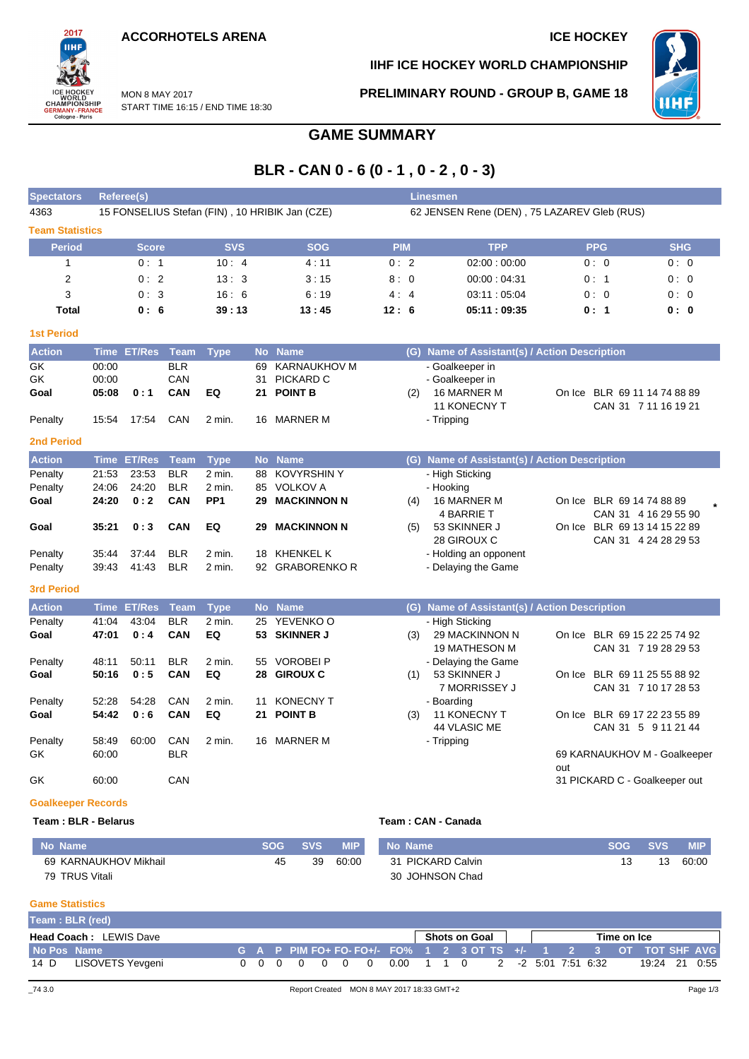**ACCORHOTELS ARENA ICE HOCKEY** 

START TIME 16:15 / END TIME 18:30

MON 8 MAY 2017



**IIHF ICE HOCKEY WORLD CHAMPIONSHIP**

**PRELIMINARY ROUND - GROUP B, GAME 18**



## **GAME SUMMARY**

## **BLR - CAN 0 - 6 (0 - 1 , 0 - 2 , 0 - 3)**

| <b>Spectators</b>         |                | Referee(s)         |                          |                 |    |                                                |            |     | <b>Linesmen</b>                               |     |                           |                                                      |
|---------------------------|----------------|--------------------|--------------------------|-----------------|----|------------------------------------------------|------------|-----|-----------------------------------------------|-----|---------------------------|------------------------------------------------------|
| 4363                      |                |                    |                          |                 |    | 15 FONSELIUS Stefan (FIN), 10 HRIBIK Jan (CZE) |            |     | 62 JENSEN Rene (DEN), 75 LAZAREV Gleb (RUS)   |     |                           |                                                      |
| <b>Team Statistics</b>    |                |                    |                          |                 |    |                                                |            |     |                                               |     |                           |                                                      |
| <b>Period</b>             |                | <b>Score</b>       |                          | <b>SVS</b>      |    | <b>SOG</b>                                     | <b>PIM</b> |     | <b>TPP</b>                                    |     | <b>PPG</b>                | <b>SHG</b>                                           |
| $\mathbf{1}$              |                | 0:1                |                          | 10:4            |    | 4:11                                           | 0:2        |     | 02:00:00:00                                   |     | 0:0                       | 0:0                                                  |
| $\overline{2}$            |                | 0:2                |                          | 13:3            |    | 3:15                                           | 8:0        |     | 00:00:04:31                                   |     | 0:1                       | 0:0                                                  |
| 3                         |                | 0:3                |                          | 16:6            |    | 6:19                                           | 4:4        |     | 03:11:05:04                                   |     | 0:0                       | 0:0                                                  |
| <b>Total</b>              |                | 0:6                |                          | 39:13           |    | 13:45                                          | 12:6       |     | 05:11:09:35                                   |     | 0: 1                      | 0:0                                                  |
| <b>1st Period</b>         |                |                    |                          |                 |    |                                                |            |     |                                               |     |                           |                                                      |
| <b>Action</b>             |                | Time ET/Res        | <b>Team</b>              | <b>Type</b>     |    | No Name                                        |            |     | (G) Name of Assistant(s) / Action Description |     |                           |                                                      |
| GK                        | 00:00          |                    | <b>BLR</b>               |                 | 69 | <b>KARNAUKHOV M</b>                            |            |     | - Goalkeeper in                               |     |                           |                                                      |
| GK                        | 00:00          |                    | CAN                      |                 | 31 | PICKARD C                                      |            |     | - Goalkeeper in                               |     |                           |                                                      |
| Goal                      | 05:08          | 0:1                | CAN                      | EQ              |    | 21 POINT B                                     |            | (2) | 16 MARNER M                                   |     |                           | On Ice BLR 69 11 14 74 88 89                         |
|                           |                |                    |                          |                 |    |                                                |            |     | 11 KONECNY T                                  |     |                           | CAN 31 7 11 16 19 21                                 |
| Penalty                   | 15:54          | 17:54              | CAN                      | 2 min.          | 16 | MARNER M                                       |            |     | - Tripping                                    |     |                           |                                                      |
| <b>2nd Period</b>         |                |                    |                          |                 |    |                                                |            |     |                                               |     |                           |                                                      |
| <b>Action</b>             | <b>Time</b>    | <b>ET/Res</b>      | <b>Team</b>              | <b>Type</b>     |    | No Name                                        |            |     | (G) Name of Assistant(s) / Action Description |     |                           |                                                      |
| Penalty                   | 21:53          | 23:53              | <b>BLR</b>               | 2 min.          |    | 88 KOVYRSHIN Y                                 |            |     | - High Sticking                               |     |                           |                                                      |
| Penalty                   | 24:06          | 24:20              | <b>BLR</b>               | 2 min.          | 85 | <b>VOLKOV A</b>                                |            |     | - Hooking                                     |     |                           |                                                      |
| Goal                      | 24:20          | 0:2                | CAN                      | PP <sub>1</sub> | 29 | <b>MACKINNON N</b>                             |            | (4) | 16 MARNER M                                   |     | On Ice BLR 69 14 74 88 89 |                                                      |
|                           |                |                    |                          | EQ              |    |                                                |            |     | 4 BARRIE T                                    |     |                           | CAN 31 4 16 29 55 90                                 |
| Goal                      | 35:21          | 0:3                | <b>CAN</b>               |                 | 29 | <b>MACKINNON N</b>                             |            | (5) | 53 SKINNER J<br>28 GIROUX C                   |     |                           | On Ice BLR 69 13 14 15 22 89<br>CAN 31 4 24 28 29 53 |
| Penalty                   | 35:44          | 37:44              | <b>BLR</b>               | 2 min.          | 18 | <b>KHENKEL K</b>                               |            |     | - Holding an opponent                         |     |                           |                                                      |
| Penalty                   | 39:43          | 41:43              | <b>BLR</b>               | $2$ min.        |    | 92 GRABORENKO R                                |            |     | - Delaying the Game                           |     |                           |                                                      |
| <b>3rd Period</b>         |                |                    |                          |                 |    |                                                |            |     |                                               |     |                           |                                                      |
|                           |                |                    |                          |                 |    |                                                |            |     |                                               |     |                           |                                                      |
| <b>Action</b>             |                | <b>Time ET/Res</b> | <b>Team</b>              | <b>Type</b>     |    | No Name                                        |            |     | (G) Name of Assistant(s) / Action Description |     |                           |                                                      |
| Penalty<br>Goal           | 41:04<br>47:01 | 43:04<br>0:4       | <b>BLR</b><br><b>CAN</b> | 2 min.<br>EQ    | 53 | 25 YEVENKO O<br><b>SKINNER J</b>               |            | (3) | - High Sticking<br>29 MACKINNON N             |     |                           | On Ice BLR 69 15 22 25 74 92                         |
|                           |                |                    |                          |                 |    |                                                |            |     | <b>19 MATHESON M</b>                          |     |                           | CAN 31 7 19 28 29 53                                 |
| Penalty                   | 48:11          | 50:11              | <b>BLR</b>               | $2$ min.        | 55 | <b>VOROBEI P</b>                               |            |     | - Delaying the Game                           |     |                           |                                                      |
| Goal                      | 50:16          | 0:5                | <b>CAN</b>               | EQ              |    | 28 GIROUX C                                    |            | (1) | 53 SKINNER J                                  |     |                           | On Ice BLR 69 11 25 55 88 92                         |
|                           |                |                    |                          |                 |    |                                                |            |     | 7 MORRISSEY J                                 |     |                           | CAN 31 7 10 17 28 53                                 |
| Penalty                   | 52:28          | 54:28              | CAN                      | 2 min.          | 11 | <b>KONECNY T</b>                               |            |     | - Boarding                                    |     |                           |                                                      |
| Goal                      | 54:42          | 0:6                | <b>CAN</b>               | EQ              |    | 21 POINT B                                     |            | (3) | <b>11 KONECNY T</b>                           |     |                           | On Ice BLR 69 17 22 23 55 89                         |
|                           |                |                    |                          |                 |    |                                                |            |     | 44 VLASIC ME                                  |     |                           | CAN 31 5 9 11 21 44                                  |
| Penalty                   | 58:49<br>60:00 | 60:00              | CAN<br><b>BLR</b>        | 2 min.          | 16 | <b>MARNER M</b>                                |            |     | - Tripping                                    |     |                           |                                                      |
| GK                        |                |                    |                          |                 |    |                                                |            |     |                                               | out |                           | 69 KARNAUKHOV M - Goalkeeper                         |
| GK                        | 60:00          |                    | CAN                      |                 |    |                                                |            |     |                                               |     |                           | 31 PICKARD C - Goalkeeper out                        |
| <b>Goalkeeper Records</b> |                |                    |                          |                 |    |                                                |            |     |                                               |     |                           |                                                      |

#### **Team : BLR - Belarus Team : CAN - Canada**

| No Name               | SOG | <b>SVS</b> | <b>MIP</b> | No Name           | <b>SVS</b> | <b>MIP</b> |
|-----------------------|-----|------------|------------|-------------------|------------|------------|
| 69 KARNAUKHOV Mikhail | 45  | 39         | 60:00      | 31 PICKARD Calvin | 13         | 60:00      |
| 79 TRUS Vitali        |     |            |            | 30 JOHNSON Chad   |            |            |

### **Game Statistics**

|             | Team: BLR (red)               |  |  |  |                                                                  |  |                      |  |  |             |               |  |
|-------------|-------------------------------|--|--|--|------------------------------------------------------------------|--|----------------------|--|--|-------------|---------------|--|
|             | <b>Head Coach: LEWIS Dave</b> |  |  |  |                                                                  |  | <b>Shots on Goal</b> |  |  | Time on Ice |               |  |
| No Pos Name |                               |  |  |  | G A P PIM FO+ FO- FO+/- FO% 1 2 3 OT TS +/- 1 2 3 OT TOT SHF AVG |  |                      |  |  |             |               |  |
| 14 D        | LISOVETS Yevgeni              |  |  |  | 0.00 1 1 0 2 -2 5:01 7:51 6:32                                   |  |                      |  |  |             | 19:24 21 0:55 |  |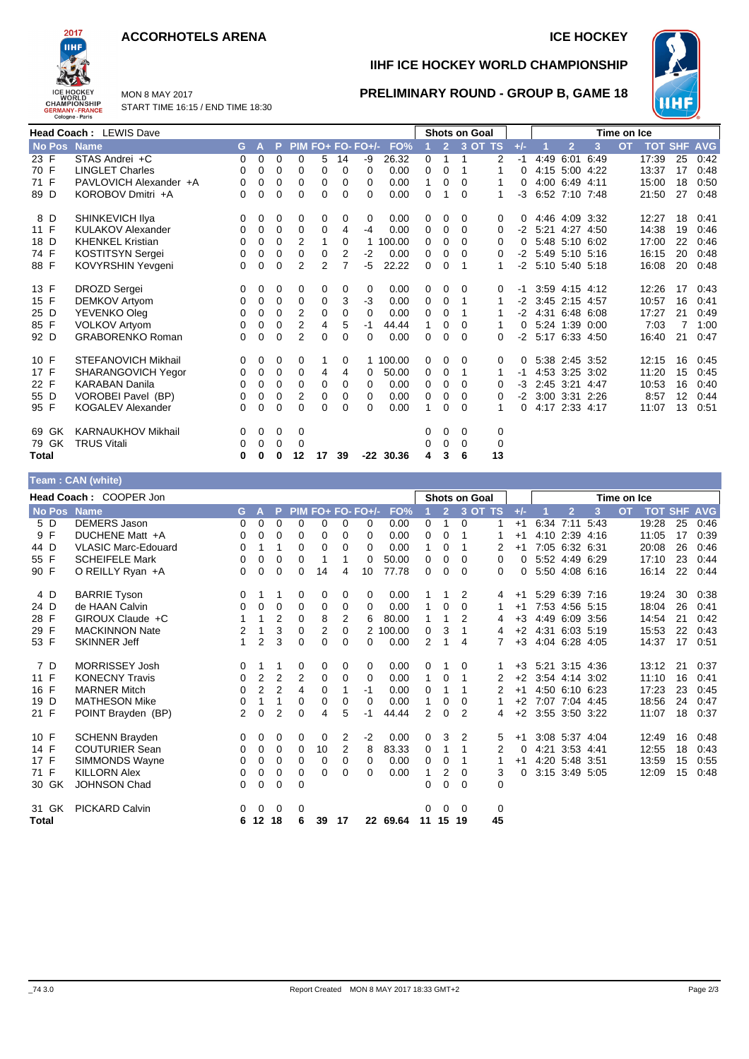### **ACCORHOTELS ARENA ICE HOCKEY**



**IIHF ICE HOCKEY WORLD CHAMPIONSHIP**

**PRELIMINARY ROUND - GROUP B, GAME 18**



MON 8 MAY 2017 START TIME 16:15 / END TIME 18:30

|               | <b>Head Coach: LEWIS Dave</b> |          |   |          |                |               |          |                   |          | <b>Shots on Goal</b> |                |          |    |       | Time on Ice         |                |      |           |                |    |            |
|---------------|-------------------------------|----------|---|----------|----------------|---------------|----------|-------------------|----------|----------------------|----------------|----------|----|-------|---------------------|----------------|------|-----------|----------------|----|------------|
| <b>No Pos</b> | <b>Name</b>                   | G.       | A | P.       |                |               |          | PIM FO+ FO- FO+/- | FO%      |                      | $\overline{2}$ | 3 OT TS  |    | $+/-$ |                     | $\overline{2}$ | 3    | <b>OT</b> | <b>TOT SHF</b> |    | <b>AVG</b> |
| 23 F          | STAS Andrei +C                | $\Omega$ | 0 | $\Omega$ | $\Omega$       | 5.            | 14       | -9                | 26.32    | $\Omega$             | 1              | 1        | 2  | -1    | 4:49                | 6:01           | 6:49 |           | 17:39          | 25 | 0:42       |
| 70 F          | <b>LINGLET Charles</b>        | 0        | 0 | 0        | 0              | 0             | $\Omega$ | $\Omega$          | 0.00     | 0                    | $\Omega$       | 1        | 1  | 0     |                     | 4:15 5:00 4:22 |      |           | 13:37          | 17 | 0:48       |
| 71 F          | PAVLOVICH Alexander +A        | 0        | 0 | 0        | 0              | 0             | $\Omega$ | $\Omega$          | 0.00     | 1                    | 0              | $\Omega$ | 1  | 0     |                     | 4:00 6:49 4:11 |      |           | 15:00          | 18 | 0:50       |
| 89 D          | KOROBOV Dmitri +A             | 0        | 0 | 0        | 0              | 0             | 0        | 0                 | 0.00     | 0                    |                | $\Omega$ | 1  | -3    |                     | 6:52 7:10 7:48 |      |           | 21:50          | 27 | 0:48       |
| 8 D           | SHINKEVICH IIya               | 0        | 0 | 0        | 0              | 0             | 0        | 0                 | 0.00     | 0                    | 0              | 0        | 0  |       |                     | 4:46 4:09 3:32 |      |           | 12:27          | 18 | 0:41       |
| 11 F          | <b>KULAKOV Alexander</b>      | 0        | 0 | 0        | $\Omega$       | 0             | 4        | $-4$              | 0.00     | 0                    | $\Omega$       | $\Omega$ | 0  |       | $-2$ 5:21 4:27 4:50 |                |      |           | 14:38          | 19 | 0:46       |
| 18 D          | <b>KHENKEL Kristian</b>       | 0        | 0 | $\Omega$ | 2              | 1             | 0        |                   | 1 100.00 | 0                    | 0              | $\Omega$ | 0  | 0     |                     | 5:48 5:10 6:02 |      |           | 17:00          | 22 | 0:46       |
| 74 F          | KOSTITSYN Sergei              | 0        | 0 | 0        | 0              | 0             | 2        | $-2$              | 0.00     | 0                    | 0              | 0        | 0  | -2    |                     | 5:49 5:10 5:16 |      |           | 16:15          | 20 | 0:48       |
| 88 F          | KOVYRSHIN Yevgeni             | $\Omega$ | 0 | 0        | $\mathfrak{p}$ | $\mathcal{P}$ |          | $-5$              | 22.22    | 0                    | $\Omega$       |          | 1  |       | -2 5:10 5:40 5:18   |                |      |           | 16:08          | 20 | 0:48       |
| 13 F          | <b>DROZD Sergei</b>           | 0        | 0 | 0        | 0              | 0             | 0        | 0                 | 0.00     | 0                    | 0              | $\Omega$ | 0  | -1    |                     | 3:59 4:15 4:12 |      |           | 12:26          | 17 | 0:43       |
| 15 F          | DEMKOV Artyom                 | 0        | 0 | 0        | 0              | 0             | 3        | $-3$              | 0.00     | 0                    | 0              |          | 1  | -2    |                     | 3:45 2:15 4:57 |      |           | 10:57          | 16 | 0:41       |
| 25 D          | YEVENKO Oleg                  | 0        | 0 | $\Omega$ | $\overline{2}$ | $\Omega$      | $\Omega$ | $\Omega$          | 0.00     | 0                    | $\Omega$       |          |    |       | $-2$ 4:31 6:48 6:08 |                |      |           | 17:27          | 21 | 0:49       |
| 85 F          | <b>VOLKOV Artyom</b>          | 0        | 0 | 0        | 2              | 4             | 5        | $-1$              | 44.44    | 1                    | 0              | 0        | 1  | 0     |                     | 5:24 1:39 0:00 |      |           | 7:03           | 7  | 1:00       |
| 92 D          | <b>GRABORENKO Roman</b>       | 0        | 0 | 0        | $\overline{2}$ | 0             | $\Omega$ | $\Omega$          | 0.00     | 0                    | $\Omega$       | 0        | 0  | -2    |                     | 5:17 6:33 4:50 |      |           | 16:40          | 21 | 0:47       |
| 10 F          | <b>STEFANOVICH Mikhail</b>    | 0        | 0 | 0        | 0              |               | 0        |                   | 1 100.00 | 0                    | 0              | $\Omega$ | 0  |       |                     | 5:38 2:45 3:52 |      |           | 12:15          | 16 | 0:45       |
| 17 F          | SHARANGOVICH Yegor            | 0        | 0 | 0        | 0              | 4             | 4        | $\Omega$          | 50.00    | 0                    | 0              |          | 1  | $-1$  |                     | 4:53 3:25 3:02 |      |           | 11:20          | 15 | 0:45       |
| 22 F          | <b>KARABAN Danila</b>         | $\Omega$ | 0 | 0        | 0              | 0             | $\Omega$ | $\Omega$          | 0.00     | 0                    | 0              | $\Omega$ | 0  | -3    |                     | 2:45 3:21 4:47 |      |           | 10:53          | 16 | 0:40       |
| 55 D          | VOROBEI Pavel (BP)            | 0        | 0 | 0        | 2              | 0             | 0        | $\Omega$          | 0.00     | 0                    | $\Omega$       | $\Omega$ | 0  | -2    |                     | 3:00 3:31 2:26 |      |           | 8:57           | 12 | 0:44       |
| 95 F          | <b>KOGALEV Alexander</b>      | 0        | 0 | $\Omega$ | 0              | $\Omega$      | $\Omega$ | 0                 | 0.00     | 1                    | $\Omega$       | $\Omega$ | 1  | 0     |                     | 4:17 2:33 4:17 |      |           | 11:07          | 13 | 0:51       |
| 69 GK         | <b>KARNAUKHOV Mikhail</b>     | 0        | 0 | 0        | 0              |               |          |                   |          | 0                    | 0              | 0        | 0  |       |                     |                |      |           |                |    |            |
| 79 GK         | <b>TRUS Vitali</b>            | 0        | 0 | 0        | 0              |               |          |                   |          | 0                    | 0              | 0        | 0  |       |                     |                |      |           |                |    |            |
| <b>Total</b>  |                               | 0        | 0 | 0        | 12             | 17            | 39       | -22               | 30.36    | 4                    | 3              | 6        | 13 |       |                     |                |      |           |                |    |            |

|              | Team: CAN (white)          |                |                |                |                |                |                |                   |          |                |                |                |                      |       |             |                |   |           |       |    |                    |
|--------------|----------------------------|----------------|----------------|----------------|----------------|----------------|----------------|-------------------|----------|----------------|----------------|----------------|----------------------|-------|-------------|----------------|---|-----------|-------|----|--------------------|
|              | Head Coach: COOPER Jon     |                |                |                |                |                |                |                   |          |                |                |                | <b>Shots on Goal</b> |       | Time on Ice |                |   |           |       |    |                    |
| No Pos Name  |                            | G.             | $\mathbf{A}$   | P.             |                |                |                | PIM FO+ FO- FO+/- | FO%      |                | $\overline{2}$ |                | 3 OT TS              | $+/-$ |             | $\overline{2}$ | 3 | <b>OT</b> |       |    | <b>TOT SHF AVG</b> |
| 5 D          | <b>DEMERS Jason</b>        | $\Omega$       | 0              | $\Omega$       | $\Omega$       | 0              | $\Omega$       | 0                 | 0.00     | 0              | 1              | 0              |                      | $+1$  |             | 6:34 7:11 5:43 |   |           | 19:28 | 25 | 0:46               |
| 9 F          | DUCHENE Matt +A            | 0              | 0              | 0              | 0              | 0              | 0              | 0                 | 0.00     | 0              | 0              | 1              | 1                    | $+1$  |             | 4:10 2:39 4:16 |   |           | 11:05 | 17 | 0:39               |
| 44 D         | <b>VLASIC Marc-Edouard</b> | 0              | 1              | 1              | 0              | 0              | 0              | 0                 | 0.00     | 1              | 0              | 1              | 2                    | $+1$  |             | 7:05 6:32 6:31 |   |           | 20:08 | 26 | 0:46               |
| 55 F         | <b>SCHEIFELE Mark</b>      | 0              | 0              | 0              | 0              | 1              | 1              | 0                 | 50.00    | 0              | 0              | $\Omega$       | 0                    | 0     |             | 5:52 4:49 6:29 |   |           | 17:10 | 23 | 0:44               |
| 90 F         | O REILLY Ryan +A           | 0              | $\Omega$       | $\Omega$       | $\Omega$       | 14             | 4              | 10                | 77.78    | $\Omega$       | 0              | 0              | 0                    | 0     |             | 5:50 4:08 6:16 |   |           | 16:14 | 22 | 0:44               |
| 4 D          | <b>BARRIE Tyson</b>        | 0              |                | 1              | $\mathbf 0$    | 0              | 0              | 0                 | 0.00     |                |                | 2              | 4                    | $+1$  |             | 5:29 6:39 7:16 |   |           | 19:24 | 30 | 0:38               |
| 24 D         | de HAAN Calvin             | 0              | 0              | 0              | $\mathbf 0$    | 0              | 0              | 0                 | 0.00     | 1              | 0              | 0              | 1.                   | $+1$  |             | 7:53 4:56 5:15 |   |           | 18:04 | 26 | 0:41               |
| 28 F         | GIROUX Claude +C           |                | 1              | $\overline{2}$ | $\mathbf 0$    | 8              | 2              | 6                 | 80.00    | 1              | 1              | $\overline{2}$ | 4                    | $+3$  |             | 4:49 6:09 3:56 |   |           | 14:54 | 21 | 0:42               |
| 29 F         | <b>MACKINNON Nate</b>      | 2              | 1              | 3              | 0              | $\overline{c}$ | $\mathbf 0$    |                   | 2 100.00 | 0              | 3              | 1              | 4                    | $+2$  |             | 4:31 6:03 5:19 |   |           | 15:53 | 22 | 0:43               |
| 53 F         | <b>SKINNER Jeff</b>        | 1              | $\overline{2}$ | 3              | $\Omega$       | 0              | $\Omega$       | 0                 | 0.00     | $\overline{2}$ |                | 4              | $\overline{7}$       | $+3$  |             | 4:04 6:28 4:05 |   |           | 14:37 | 17 | 0:51               |
| 7 D          | <b>MORRISSEY Josh</b>      | 0              |                |                | 0              | 0              | 0              | 0                 | 0.00     | 0              |                | 0              |                      | $+3$  |             | 5:21 3:15 4:36 |   |           | 13:12 | 21 | 0:37               |
| 11 F         | <b>KONECNY Travis</b>      | 0              | $\overline{2}$ | $\overline{2}$ | $\overline{2}$ | 0              | 0              | 0                 | 0.00     | $\mathbf{1}$   | 0              | 1              | 2                    | $+2$  |             | 3:54 4:14 3:02 |   |           | 11:10 | 16 | 0:41               |
| 16 F         | <b>MARNER Mitch</b>        | 0              | $\overline{2}$ | $\overline{2}$ | 4              | 0              |                | $-1$              | 0.00     | 0              |                | 1              | 2                    | $+1$  |             | 4:50 6:10 6:23 |   |           | 17:23 | 23 | 0:45               |
| 19 D         | <b>MATHESON Mike</b>       | 0              | 1              | 1              | 0              | 0              | $\Omega$       | $\Omega$          | 0.00     | $\mathbf{1}$   | 0              | 0              |                      | $+2$  |             | 7:07 7:04 4:45 |   |           | 18:56 | 24 | 0:47               |
| 21 F         | POINT Brayden (BP)         | $\overline{2}$ | 0              | $\overline{2}$ | 0              | 4              | 5              | -1                | 44.44    | 2              | $\mathbf 0$    | $\mathfrak{p}$ | 4                    | $+2$  |             | 3:55 3:50 3:22 |   |           | 11:07 | 18 | 0:37               |
| 10 F         | <b>SCHENN Brayden</b>      | 0              | 0              | 0              | 0              | 0              | 2              | $-2$              | 0.00     | 0              | 3              | 2              | 5                    | $+1$  |             | 3:08 5:37 4:04 |   |           | 12:49 | 16 | 0:48               |
| 14 F         | <b>COUTURIER Sean</b>      | 0              | 0              | 0              | 0              | 10             | $\overline{2}$ | 8                 | 83.33    | 0              | 1              | 1              | 2                    | 0     |             | 4:21 3:53 4:41 |   |           | 12:55 | 18 | 0:43               |
| 17 F         | SIMMONDS Wayne             | 0              | 0              | 0              | 0              | 0              | 0              | $\Omega$          | 0.00     | 0              | 0              | 1              |                      | $+1$  |             | 4:20 5:48 3:51 |   |           | 13:59 | 15 | 0:55               |
| 71 F         | <b>KILLORN Alex</b>        | 0              | 0              | 0              | 0              | 0              | 0              | 0                 | 0.00     | 1              | 2              | 0              | 3                    | 0     |             | 3:15 3:49 5:05 |   |           | 12:09 | 15 | 0:48               |
| 30 GK        | <b>JOHNSON Chad</b>        | 0              | 0              | $\mathbf 0$    | 0              |                |                |                   |          | 0              | 0              | 0              | 0                    |       |             |                |   |           |       |    |                    |
| 31 GK        | <b>PICKARD Calvin</b>      | 0              | $\Omega$       | 0              | 0              |                |                |                   |          | $\Omega$       | 0              | $\Omega$       | 0                    |       |             |                |   |           |       |    |                    |
| <b>Total</b> |                            | 6              | 12 18          |                | 6              | 39             | 17             |                   | 22 69.64 |                | 11 15 19       |                | 45                   |       |             |                |   |           |       |    |                    |